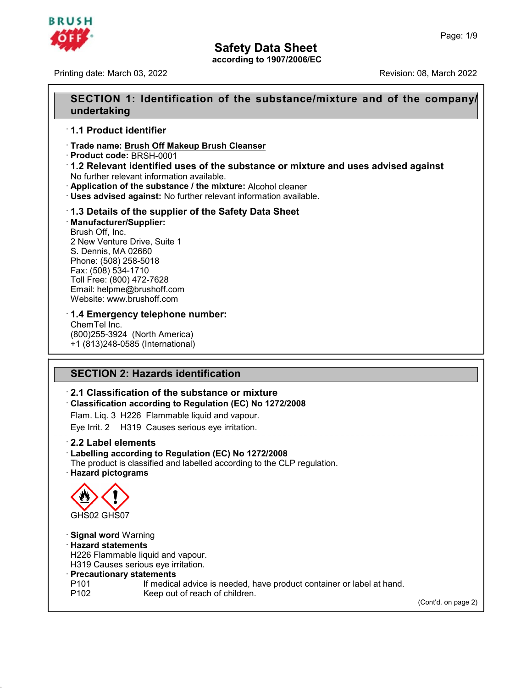

Printing date: March 03, 2022 Revision: 08, March 2022

## **Safety Data Sheet**<br>according to 1907/2006/EC<br>SECTION 1: Identification of the substance/mixture and of the company/<br>undertaking **undertaking SECTION 1: Identification<br>
SECTION 1: Identification<br>
1.1 Product identifier<br>
Trade name: Brush Off Makeup Enclosition Product in Product in Product 199014** SECTION 1: Identification of the substand<br>
undertaking<br>
1.1 Product identifier<br>
Trade name: <u>Brush Off Makeup Brush Cleanser</u><br>
Product code: BRSH-0001<br>
1.2 Relevant identified uses of the substance or mi

**A Product identifier**<br>
• **Product identifier**<br>
• **Product code:** BRSH-0001<br>
• **1.2 Relevant identified uses of the substance or mixture and uses advised against<br>
• No further relevant information available.<br>
• Applicatio 1.1 Product identifier**<br>
Trade name: <u>Brush Off Makeup Brush Cleanser</u><br>
Product code: BRSH-0001<br> **1.2 Relevant identified uses of the substance or mixture and unity of further relevant information available.**<br> **Applicatio** • **Product code: BRSH-0001**<br>• **Product code: BRSH-0001**<br>**1.2 Relevant identified uses of the substance or mixture and us<br>No further relevant information available.**<br>• **Application of the substance / the mixture:** Alcohol c

· **Manufacturer/Supplier: Application of the substance / the mixture:** Alcohol cleaner<br> **Uses advised against:** No further relevant information availat<br> **1.3 Details of the supplier of the Safety Data Sheet**<br> **Manufacturer/Supplier:**<br>
Brush Off, **Uses advised against:** No further relevant information available.<br> **1.3 Details of the supplier of the Safety Data Sheet**<br> **Manufacturer/Supplier:**<br>
Brush Off, Inc.<br>
2 New Venture Drive, Suite 1<br>
S. Dennis, MA 02660<br>
Phon **1.3 Details of the supplier of the Safety Data Sheet**<br> **Manufacturer/Supplier:**<br>
Brush Off, Inc.<br>
2 New Venture Drive, Suite 1<br>
S. Dennis, MA 02660<br>
Phone: (508) 258-5018<br>
Fax: (508) 534-1710 1.3 Details of the supplier o<br>Manufacturer/Supplier:<br>Brush Off, Inc.<br>2 New Venture Drive, Suite 1<br>S. Dennis, MA 02660<br>Phone: (508) 258-5018<br>Fax: (508) 534-1710<br>Toll Free: (800) 472-7628 2 New Venture Drive, Suite 1<br>S. Dennis, MA 02660<br>Phone: (508) 258-5018<br>Fax: (508) 534-1710<br>Toll Free: (800) 472-7628 Email: helpme@brushoff.com<br>Website: www.brushoff.com 2 New Venture Drive, Suite 1<br>S. Dennis, MA 02660<br>Phone: (508) 258-5018<br>Fax: (508) 534-1710<br>Toll Free: (800) 472-7628<br>Email: helpme@brushoff.com<br>Website: www.brushoff.com S. Dennis, MA 02660<br>Phone: (508) 258-5018<br>Fax: (508) 534-1710<br>Toll Free: (800) 472-7628<br>Email: helpme@brushoff.com<br>Website: www.brushoff.com<br>**1.4 Emergency telephone number:** Phone: (508) 258-5018<br>Fax: (508) 534-1710<br>Toll Free: (800) 472-7628<br>Email: helpme@brushoff.com<br>Website: www.brushoff.com<br>**1.4 Emergency telephone number:**<br>ChemTel Inc.<br>(800)255-3924 (North America) Toll Free: (800) 472-7628<br>Email: helpme@brushoff.cor<br>Website: www.brushoff.com<br>**1.4 Emergency telephon**<br>ChemTel Inc.<br>(800)255-3924 (North Amer<br>+1 (813)248-0585 (Internation

Finail: helpme@brushoff.com<br>Website: www.brushoff.com<br>**1.4 Emergency telephone number:**<br>ChemTel Inc.<br>(800)255-3924 (North America)<br>+1 (813)248-0585 (International) Website: www.brushoff.com<br>
1.4 Emergency telephone numbe<br>
ChemTel Inc.<br>
(800)255-3924 (North America)<br>
+1 (813)248-0585 (International) **T.4 Emergency telephone number:**<br>ChemTel Inc.<br>(800)255-3924 (North America)<br>+1 (813)248-0585 (International)<br>**SECTION 2: Hazards identification**<br>2.1 Classification of the substance or mixture

## <sup>+1</sup> (813)248-0585 (International)<br>
<br> **2.1 Classification of the substance or mixture**<br> **2.1 Classification of the substance or mixture**<br> **2.1 Classification according to Regulation (EC) No 1272/2008**<br>
Flam Lig. 3 H226. Fl **SECTION 2: Hazards identification<br>
2.1 Classification of the substance or mixture<br>
Classification according to Regulation (EC) No 1272/2008<br>
Flam. Liq. 3 H226 Flammable liquid and vapour.** SECTION 2: Hazards identification<br>
2.1 Classification of the substance or mixture<br>
Classification according to Regulation (EC) No 1272/2008<br>
Flam. Liq. 3 H226 Flammable liquid and vapour.<br>
Eye Irrit. 2 H319 Causes serious

# **Example 12.1 Classification of the substance or mixture**<br> **Example 12.1 Classification according to Regulation (EC) No 1272/20**<br>
Flam. Liq. 3 H226 Flammable liquid and vapour.<br>
Eye Irrit. 2 H319 Causes serious eye irritat

· **Labelling according to Regulation (EC) No 1272/2008** Flam. Liq. 3 H226 Flammable liquid and vapour.<br>
Eye Irrit. 2 H319 Causes serious eye irritation.<br> **• 2.2 Label elements**<br>
• **Labelling according to Regulation (EC) No 1272/2008**<br>
The product is classified and labelled acco



45.2.2

GHS02 GHS07<br>
Signal word Warning<br>
Hazard statements<br>
H226 Flammable liquid and vapour.<br>
H319 Causes serious eye irritation.<br>
Precautionary statements

- GHS02 GHS07<br> **Signal word** Warning<br> **Hazard statements**<br>
H226 Flammable liquid and vapour.<br>
H319 Causes serious eye irritation.<br> **Precautionary statements**<br>
P101 If medical advice is needer<br>
P102 Keep out of reach of child Signal word Warning<br>
Hazard statements<br>
H226 Flammable liquid and vapour.<br>
H319 Causes serious eye irritation.<br> **Precautionary statements**<br>
P101 If medical advice is needed, have product container or label at hand.<br>
P102 ( **Hazard statements**<br>
H226 Flammable liquid and vapour.<br>
H319 Causes serious eye irritation.<br> **Precautionary statements**<br>
P101 If medical advice is needed, have produ<br>
P102 Keep out of reach of children.
	-

(Cont'd. on page 2)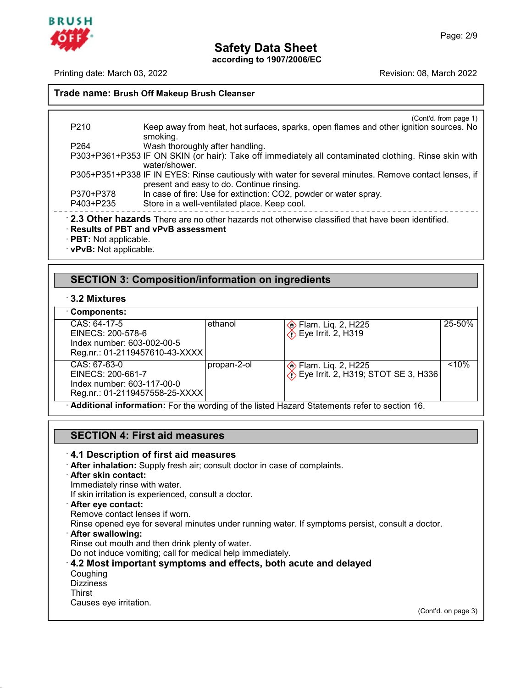

Printing date: March 03, 2022 **Revision: 08, March 2022** Revision: 08, March 2022

**Safety Data S**<br>**Printing date: March 03, 2022**<br>**Trade name: Brush Off Makeup Brush Cleanser** (Cont'd. from page 1)<br>ition sources. No P210 Keep away from heat, hot surfaces, sparks, open flames and other ignition sources. No<br>P264 Wash thoroughly after handling. smoking. P210 Keep away from heat, hot surfaces, spark<br>P264 Wash thoroughly after handling.<br>P303+P361+P353 IF ON SKIN (or hair): Take off immediate F210<br>
Reep away from heat, hot surfaces, sparks, open flames and other ignition sources. No<br>
smoking.<br>
P303+P361+P353 IF ON SKIN (or hair): Take off immediately all contaminated clothing. Rinse skin with<br>
vater/shower.<br>
P3 water/shower. P210 Keep away from heat, hot surfaces, sparks, open flames and other ignition sources. No<br>
smoking.<br>
P264 Wash thoroughly after handling.<br>
P303+P361+P353 IF ON SKIN (or hair): Take off immediately all contaminated clothin smoking.<br>Wash thoroughly after handling.<br>IF ON SKIN (or hair): Take off immediately all conta<br>water/shower.<br>IF IN EYES: Rinse cautiously with water for several r<br>present and easy to do. Continue rinsing.<br>In case of fire: U Wash thoroughly after handling.<br>
P303+P361+P353 IF ON SKIN (or hair): Take off immediately all contaminated clothing. Rin<br>
water/shower.<br>
P370+P378 IF IN EYES: Rinse cautiously with water for several minutes. Remove conta<br> P303+P361+P353 IF ON SKIN (or hair): Take off immediately all contaminated clothing. Rinse skin with<br>water/shower.<br>P3705+P351+P338 IF IN EYES: Rinse cautiously with water for several minutes. Remove contact lenses, if<br>pres **Part is a present and easy to do. Continue rinsing.**<br> **PA03+P378** In case of fire: Use for extinction: CO2, powder or water spray.<br>
P403+P235 Store in a well-ventilated place. Keep cool.<br> **PA03+P235** Store in a well-vent 2.5 Officer Hazards There are no officer Hazards not officerwise classified that he<br>Results of PBT and vPvB assessment<br>PBT: Not applicable.<br>VPvB: Not applicable.<br>SECTION 3: Composition/information on ingredients<br>3.2 Mixtur

# · **vPvB:** Not applicable.<br>
SECTION 3: Compo<br>
∴3.2 Mixtures<br>
∴Components:

| Components: |  |
|-------------|--|

| <b>SECTION 3: Composition/information on ingredients</b>                                          |             |                                                                                              |        |  |  |
|---------------------------------------------------------------------------------------------------|-------------|----------------------------------------------------------------------------------------------|--------|--|--|
| 3.2 Mixtures                                                                                      |             |                                                                                              |        |  |  |
| Components:                                                                                       |             |                                                                                              |        |  |  |
| CAS: 64-17-5<br>EINECS: 200-578-6<br>Index number: 603-002-00-5<br>Reg.nr.: 01-2119457610-43-XXXX | ethanol     | <b>◈</b> Flam. Liq. 2, H225<br><i>↑</i> Eye Irrit. 2, H319                                   | 25-50% |  |  |
| CAS: 67-63-0<br>EINECS: 200-661-7<br>Index number: 603-117-00-0<br>Reg.nr.: 01-2119457558-25-XXXX | propan-2-ol | ie Flam. Liq. 2, H225<br>1) Eye Irrit. 2, H319; STOT SE 3, H336                              | < 10%  |  |  |
|                                                                                                   |             | Additional information: For the wording of the listed Hazard Statements refer to section 16. |        |  |  |
|                                                                                                   |             |                                                                                              |        |  |  |
| <b>SECTION 4: First aid measures</b>                                                              |             |                                                                                              |        |  |  |
| 4.1 Description of first aid measures                                                             |             |                                                                                              |        |  |  |

# **SECTION 4: First aid measures**<br>**4.1 Description of first aid measures**<br>**After inhalation:** Supply fresh air; consult deference with water.<br>Immediately rinse with water.<br>If skin irritation is experienced, consult a doce Af

**Additional information:** For the wording of the listed<br> **SECTION 4: First aid measures**<br> **4.1 Description of first aid measures**<br> **After inhalation:** Supply fresh air; consult doctor in cannot contact: **SECTION 4: First aid measures**<br> **4.1 Description of first aid measures**<br> **• After inhalation:** Supply fresh air; consult doctor in case of complaints.<br>
• **After skin contact:**<br>
If skin irritation is experienced. consult a **4.1 Description of first aid measures**<br> **After inhalation:** Supply fresh air; consult doctor in case of<br> **After skin contact:**<br>
Immediately rinse with water.<br>
If skin irritation is experienced, consult a doctor.<br> **After e** 

If skin irritation is experienced, consult a doctor.<br> **After eye contact:**<br>
Remove contact lenses if worn.<br>
Rinse opened eye for several minutes under run<br> **After swallowing:** Refler skin contact:<br>
Immediately rinse with water.<br>
If skin irritation is experienced, consult a doctor.<br> **After eye contact:**<br>
Remove contact lenses if worn.<br>
Rinse opened eye for several minutes under running water. If Rinse opened eye for several minutes under running water. If symptoms persist, consult a doctor.<br> **After swallowing:**<br>
Rinse out mouth and then drink plenty of water.<br>
Do not induce vomiting; call for medical help immediat

Or After eye contact:<br>
Remove contact lenses if worn.<br>
Rinse opened eye for several minutes under running water. If symptoms persist, consult a<br> **After swallowing:**<br>
Rinse out mouth and then drink plenty of water.<br>
Do not **Coughing**  $\cdot$  4.2 Most important symptoms and effects, both acute and delayed

**Dizziness** 

45.2.2

Thirst<br>Causes eye irritation.

(Cont'd. on page 3)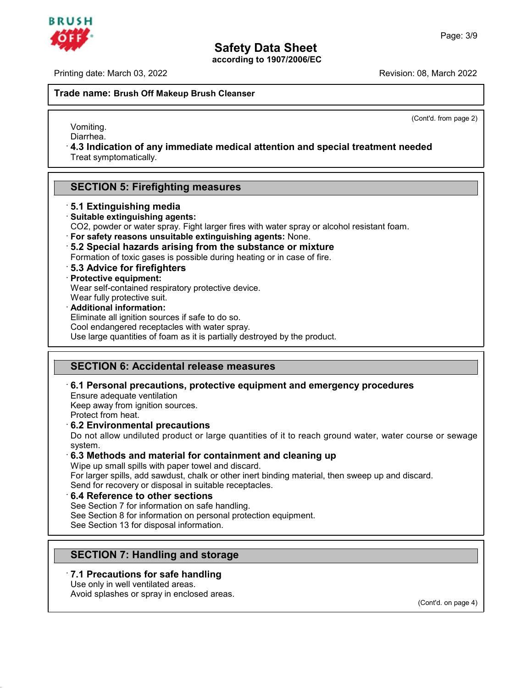Printing date: March 03, 2022 Revision: 08, March 2022

**Safety Data S**<br>**Printing date: March 03, 2022**<br>**Trade name: Brush Off Makeup Brush Cleanser** 

(Cont'd. from page 2)

Vomiting. Diarrhea.

**Accord Makeup Brush Cleanser**<br>
Vomiting.<br>
Diarrhea.<br> **4.3 Indication of any immediate medical attention and special treatment needed**<br>
Treat symptomatically.  $\pm$  4.3 Indication of any immediate medical attention and special treatment needed Treat symptomatically. **Vollming.**<br>Diarrhea.<br>4.3 Indication of any immediate medical attentic<br>Treat symptomatically.<br>SECTION 5: Firefighting measures<br>5.1 Extinguishing media

## Treat symptomatically.<br> **SECTION 5: Firefighting measure<br>
5.1 Extinguishing media<br>
Suitable extinguishing agents:<br>
CO2, powder or water spray. Fight larger fi SECTION 5: Firefighting measures:**<br> **5.1 Extinguishing media<br>
• Suitable extinguishing agents:<br>
CO2, powder or water spray. Fight larger fire<br>
• For safety reasons unsuitable extinguish**

- 
- 
- **CO2, powder or water spray. Fight larger fires with water spray or alcohol resistant foam.**<br> **For safety reasons unsuitable extinguishing agents:**<br> **For safety reasons unsuitable extinguishing agents:** None.<br> **For safety** Formation of toxic gases is possible during heating or in case of fire.<br> **For safety reasons unsuitable extinguishing agents:** None.<br> **For safety reasons unsuitable extinguishing agents:** None.<br> **5.2 Special hazards arisin**
- 
- For safety reasons unsuitable<br>5.2 Special hazards arisin<br>Formation of toxic gases is posentially<br>5.3 Advice for firefighters<br>Protective equipment:<br>Wear self-contained respirator<br>Wear fully protective suit. For safety reasons unsulable extinguishing agents. None<br>5.2 Special hazards arising from the substance or m<br>Formation of toxic gases is possible during heating or in case<br>5.3 Advice for firefighters<br>Protective equipment:<br>W
- 
- 

**B.2 Special nazards arising from t**<br>Formation of toxic gases is possible duri<br>**5.3 Advice for firefighters**<br>**Protective equipment:**<br>Wear self-contained respiratory protective<br>Wear fully protective suit.<br>**Additional inform** 5.3 Advice for firefighters<br>Protective equipment:<br>Wear self-contained respiratory protective device.<br>Wear fully protective suit.<br>Additional information:<br>Eliminate all ignition sources if safe to do so.<br>Cool endangered rece

**Protective equipment:**<br>Wear self-contained respiratory protective device.<br>Wear fully protective suit.<br>**Additional information:**<br>Eliminate all ignition sources if safe to do so.<br>Cool endangered receptacles with water spray Wear fully protective suit.<br> **Additional information:**<br>
Eliminate all ignition sources if safe to do so.<br>
Cool endangered receptacles with water spray.<br>
Use large quantities of foam as it is partially destroyed by the prod

## **SECTION 6: Accidental relea<br>6.1 Personal precautions, prote<br>Ensure adequate ventilation<br>Keep away from ignition sources.**<br>Protect from heat SECTION 6: Accidental release me<br>6.1 Personal precautions, protective<br>Ensure adequate ventilation<br>Keep away from ignition sources.<br>Protect from heat.

Additional Information:<br>Eliminate all ignition sources if safe to do so.<br>Cool endangered receptacles with water spray.<br>Use large quantities of foam as it is partially destroyed by the pro<br>**SECTION 6: Accidental release mea** Use large quantities of foam as it is partially destroyed by the product.<br>
<br>
SECTION 6: Accidental release measures<br>
6.1 Personal precautions, protective equipment and emergency procedures<br>
Ensure adequate ventilation<br>
Kee

**SECTION 6: Accidental release mease.**<br> **6.1 Personal precautions, protective eq**<br>
Ensure adequate ventilation<br>
Keep away from ignition sources.<br>
Protect from heat.<br> **6.2 Environmental precautions**<br>
Do not allow undiluted **6.1 Personal precautions, protective equipment and emergency procedures**<br>Ensure adequate ventilation<br>Keep away from ignition sources.<br>Protect from heat.<br>**6.2 Environmental precautions**<br>Do not allow undiluted product or la system. **Example 10** Keep away from ignition sources.<br> **6.2 Environmental precautions**<br> **6.2 Environmental precautions**<br> **6.3 Methods and material for containment and cleaning up**<br>
<sup>1</sup> **6.3 Methods and material for containment an** Protect from heat.<br> **6.2 Environmental precautions**<br>
Do not allow undiluted product or large quantities of it to resystem.<br> **6.3 Methods and material for containment and clea**<br>
Wipe up small spills with paper towel and dis **6.2 Environmental precautions**<br>Do not allow undiluted product or large quantities of it to reach ground water, water course or sewage<br>system.<br>**6.3 Methods and material for containment and cleaning up**<br>Wipe up small spills

Do not allow undiluted product or large quantities of it to<br>system.<br> **6.3 Methods and material for containment and clea**<br>
Wipe up small spills with paper towel and discard.<br>
For larger spills, add sawdust, chalk or other i **6.3 Methods and material for containment and c**<br>Wipe up small spills with paper towel and discard.<br>For larger spills, add sawdust, chalk or other inert binding<br>Send for recovery or disposal in suitable receptacles.<br>**6.4 R** Wipe up small spills with paper towel and discard.<br>For larger spills, add sawdust, chalk or other inert binding material, then<br>Send for recovery or disposal in suitable receptacles.<br>6.4 Reference to other sections<br>See Sect

Send for recovery or disposal in suitable receptacles.<br> **6.4 Reference to other sections**<br>
See Section 7 for information on safe handling.<br>
See Section 8 for information on personal protection equipment.<br>
See Section 13 fo **S.4 Reference to Other Sections**<br>
See Section 7 for information on safe handling.<br>
See Section 8 for information on personal protection equi<br>
See Section 13 for disposal information.<br> **SECTION 7: Handling and storage**<br>
7.

## See Section 13 for disposal information.<br> **7.1 Precautions for safe handling<br>
Use only in well ventilated areas.<br>
Avoid splashes or spray in enclosed areas. SECTION 7: Handling and storage<br>7.1 Precautions for safe handling**<br>Use only in well ventilated areas.<br>Avoid splashes or spray in enclosed areas. **SECTION 7: Handling and storage**<br>**7.1 Precautions for safe handling**<br>Use only in well ventilated areas.<br>Avoid splashes or spray in enclosed areas.

45.2.2

(Cont'd. on page 4)

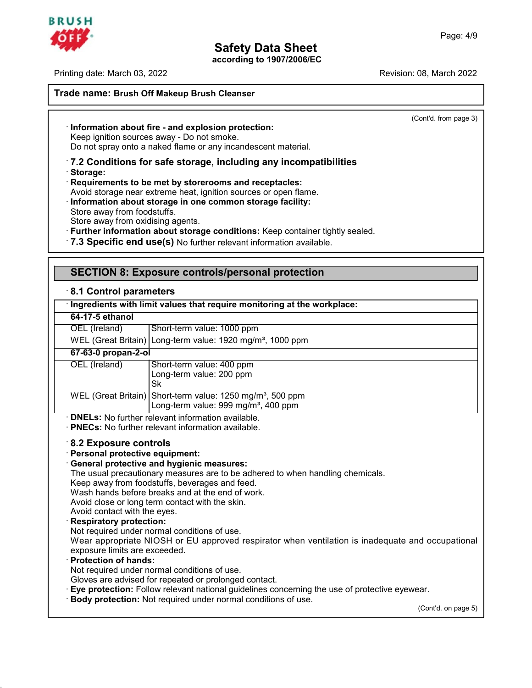

45.2.2

Printing date: March 03, 2022 **Revision: 08, March 2022** Revision: 08, March 2022

# **Safety Data S**<br>**Printing date: March 03, 2022**<br>**Trade name: Brush Off Makeup Brush Cleanser**

(Cont'd. from page 3)

## **Trade name: Brush Off Makeup Brush Cleanser**<br> **Information about fire - and explosion protection:**<br>
Keep ignition sources away - Do not smoke. Do not spray onto a naked flame or any incandescent material.

## **Example 12 and Schware processes**<br> **Example 12 and explosion protection:**<br>
Keep ignition sources away - Do not smoke.<br>
Do not spray onto a naked flame or any incandescent material.<br> **7.2 Conditions for safe storage, inclu** · **Storage:** Example 10 not spray onto a naked flame or any incandescent material.<br> **T.2 Conditions for safe storage, including any incompaterooms 31.**<br> **Requirements to be met by storerooms and receptacles:**<br>
Avoid storage near extrem Do not spray onto a naked flame or any incandescent material.<br> **7.2 Conditions for safe storage, including any incompatibilities**<br> **Requirements to be met by storerooms and receptacles:**<br>
Avoid storage near extreme heat, i

- Avoid storage near extreme heat, ignition sources or open flame.<br>
Information about storage in one common storage facility:<br>
Store away from oxidising agents. • Storage:<br>• Requirements to be met by storerooms and receptacles:<br>Avoid storage near extreme heat, ignition sources or open flame.<br>• Information about storage in one common storage facility:<br>Store away from oxidising agen
- 
- 
- Store away from oxidising agents.<br>
Store away from oxidising agents.<br> **Further information about storage conditions:** Keep container tightly sealed<br> **7.3 Specific end use(s)** No further relevant information available.<br> **SE**
- 

| .7.3 Specific end use(s) No further relevant information available.                                                                                                                    |                                                                                                                                                                                                                                                                                                                                                                                                                                                                                                                                                                                                                                                                                                                           |  |  |  |  |
|----------------------------------------------------------------------------------------------------------------------------------------------------------------------------------------|---------------------------------------------------------------------------------------------------------------------------------------------------------------------------------------------------------------------------------------------------------------------------------------------------------------------------------------------------------------------------------------------------------------------------------------------------------------------------------------------------------------------------------------------------------------------------------------------------------------------------------------------------------------------------------------------------------------------------|--|--|--|--|
|                                                                                                                                                                                        | <b>SECTION 8: Exposure controls/personal protection</b>                                                                                                                                                                                                                                                                                                                                                                                                                                                                                                                                                                                                                                                                   |  |  |  |  |
| 8.1 Control parameters                                                                                                                                                                 |                                                                                                                                                                                                                                                                                                                                                                                                                                                                                                                                                                                                                                                                                                                           |  |  |  |  |
|                                                                                                                                                                                        | Ingredients with limit values that require monitoring at the workplace:                                                                                                                                                                                                                                                                                                                                                                                                                                                                                                                                                                                                                                                   |  |  |  |  |
| 64-17-5 ethanol                                                                                                                                                                        |                                                                                                                                                                                                                                                                                                                                                                                                                                                                                                                                                                                                                                                                                                                           |  |  |  |  |
| OEL (Ireland)                                                                                                                                                                          | Short-term value: 1000 ppm                                                                                                                                                                                                                                                                                                                                                                                                                                                                                                                                                                                                                                                                                                |  |  |  |  |
|                                                                                                                                                                                        | WEL (Great Britain) Long-term value: 1920 mg/m <sup>3</sup> , 1000 ppm                                                                                                                                                                                                                                                                                                                                                                                                                                                                                                                                                                                                                                                    |  |  |  |  |
| 67-63-0 propan-2-ol                                                                                                                                                                    |                                                                                                                                                                                                                                                                                                                                                                                                                                                                                                                                                                                                                                                                                                                           |  |  |  |  |
| OEL (Ireland)                                                                                                                                                                          | Short-term value: 400 ppm<br>Long-term value: 200 ppm<br><b>Sk</b>                                                                                                                                                                                                                                                                                                                                                                                                                                                                                                                                                                                                                                                        |  |  |  |  |
|                                                                                                                                                                                        | WEL (Great Britain) Short-term value: 1250 mg/m <sup>3</sup> , 500 ppm<br>Long-term value: 999 mg/m <sup>3</sup> , 400 ppm                                                                                                                                                                                                                                                                                                                                                                                                                                                                                                                                                                                                |  |  |  |  |
|                                                                                                                                                                                        | · <b>DNELs:</b> No further relevant information available.<br>· <b>PNECs:</b> No further relevant information available.                                                                                                                                                                                                                                                                                                                                                                                                                                                                                                                                                                                                  |  |  |  |  |
| 8.2 Exposure controls<br>· Personal protective equipment:<br>Avoid contact with the eyes.<br><b>Respiratory protection:</b><br>exposure limits are exceeded.<br>· Protection of hands: | · General protective and hygienic measures:<br>The usual precautionary measures are to be adhered to when handling chemicals.<br>Keep away from foodstuffs, beverages and feed.<br>Wash hands before breaks and at the end of work.<br>Avoid close or long term contact with the skin.<br>Not required under normal conditions of use.<br>Wear appropriate NIOSH or EU approved respirator when ventilation is inadequate and occupational<br>Not required under normal conditions of use.<br>Gloves are advised for repeated or prolonged contact.<br>· Eye protection: Follow relevant national guidelines concerning the use of protective eyewear.<br>· Body protection: Not required under normal conditions of use. |  |  |  |  |
|                                                                                                                                                                                        | (Cont'd. on page 5)                                                                                                                                                                                                                                                                                                                                                                                                                                                                                                                                                                                                                                                                                                       |  |  |  |  |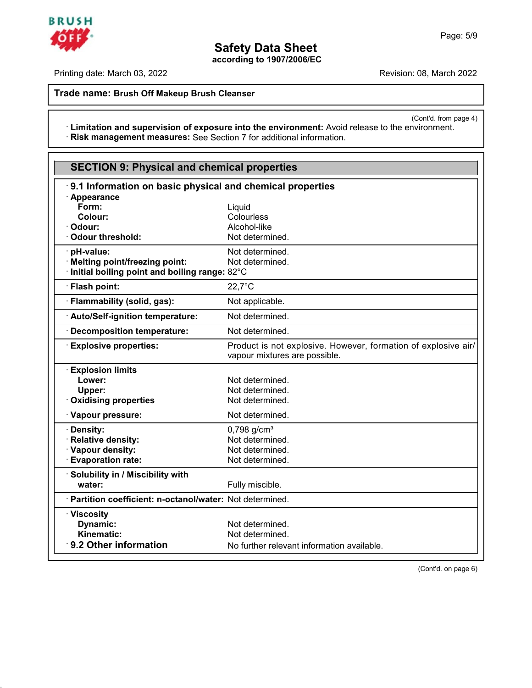

Printing date: March 03, 2022 **Printing date: March 03, 2022** 

**Trade name: Brush Off Makeup Brush Cleanser**

(Cont'd. from page 4)<br>
vironment. **Expression Contation 20, 2022**<br> **Ade name: Brush Off Makeup Brush Cleanser**<br> **Contation and supervision of exposure into the environment:** Avoid release to the environment.<br> **Risk management measures:** See Section 7 for a · Risk management measures: See Section 7 for additional information.

| <b>SECTION 9: Physical and chemical properties</b>        |                                                                                                 |
|-----------------------------------------------------------|-------------------------------------------------------------------------------------------------|
| 9.1 Information on basic physical and chemical properties |                                                                                                 |
| · Appearance                                              |                                                                                                 |
| Form:<br>Colour:                                          | Liquid<br>Colourless                                                                            |
| Odour:                                                    | Alcohol-like                                                                                    |
| <b>Odour threshold:</b>                                   | Not determined.                                                                                 |
|                                                           |                                                                                                 |
| · pH-value:<br>· Melting point/freezing point:            | Not determined.<br>Not determined.                                                              |
| Initial boiling point and boiling range: 82°C             |                                                                                                 |
| · Flash point:                                            | $22.7^{\circ}$ C                                                                                |
| · Flammability (solid, gas):                              | Not applicable.                                                                                 |
| · Auto/Self-ignition temperature:                         | Not determined.                                                                                 |
| <b>Decomposition temperature:</b>                         | Not determined.                                                                                 |
| <b>Explosive properties:</b>                              | Product is not explosive. However, formation of explosive air/<br>vapour mixtures are possible. |
| <b>Explosion limits</b>                                   |                                                                                                 |
| Lower:                                                    | Not determined.                                                                                 |
| Upper:                                                    | Not determined.                                                                                 |
| <b>Oxidising properties</b>                               | Not determined.                                                                                 |
| · Vapour pressure:                                        | Not determined.                                                                                 |
| <b>Density:</b>                                           | $0,798$ g/cm <sup>3</sup>                                                                       |
| <b>Relative density:</b>                                  | Not determined.                                                                                 |
| · Vapour density:                                         | Not determined.                                                                                 |
| · Evaporation rate:                                       | Not determined.                                                                                 |
| <b>Solubility in / Miscibility with</b>                   |                                                                                                 |
| water:                                                    | Fully miscible.                                                                                 |
| Partition coefficient: n-octanol/water: Not determined.   |                                                                                                 |
| · Viscosity                                               |                                                                                                 |
| Dynamic:                                                  | Not determined.                                                                                 |
| Kinematic:                                                | Not determined.                                                                                 |
| 9.2 Other information                                     | No further relevant information available.                                                      |





45.2.2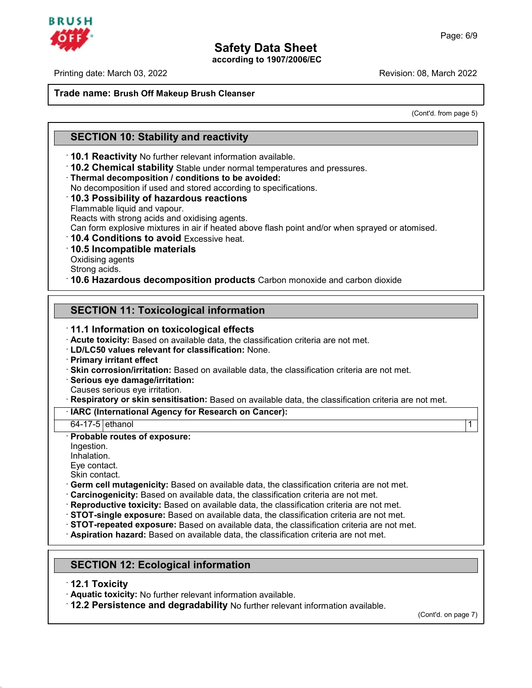

Printing date: March 03, 2022 Revision: 08, March 2022

# **Safety Data S**<br> **Printing date:** March 03, 2022<br> **Trade name: Brush Off Makeup Brush Cleanser**<br> **Brush Off Makeup Brush Cleanser**

: 08, March 2022<br>(Cont'd. from page 5)

# **Trade name: Brush Off Makeup Brush Cleanser<br>
SECTION 10: Stability and reactivity<br>
10.1 Reactivity No further relevant information available.**

**SECTION 10: Stability and reactivity**<br> **10.1 Reactivity** No further relevant information available.<br> **10.2 Chemical stability** Stable under normal temperatures and pressures.<br> **Thermal decomposition / conditions to be avo 10.1 Reactivity** No further relevant information available.<br> **10.2 Chemical stability** Stable under normal temperatures and pr<br> **Thermal decomposition / conditions to be avoided:**<br>
No decomposition if used and stored acco

Thermal decomposition / conditions to be avoided:<br>
No decomposition if used and stored according to specifications.<br>
10.3 Possibility of hazardous reactions<br>
Flammable liquid and vapour.<br>
Reacts with strong acids and oxidi **Can Form explosition of conditions to be avoided:**<br>
No decomposition if used and stored according to specifications.<br> **Can form explosition** and vapour.<br>
Reacts with strong acids and oxidising agents.<br> **Can form explosive** Reacts with strong acids and oxidising agents.<br> **10.4 Conditions to avoid** Excessive heat.<br> **10.5 Incompatible materials**<br>
Oxidising agents<br>
Strong acids.<br> **10.6 Hazardous decomposition products** Carbon monoxide and carbon

**10.5 Incompatible materials**<br>Oxidising agents<br>Strong acids.

**Communist Communist Communist Communist Constant Strong acids.**<br> **10.6 Hazardous decomposition products** Carbon monor<br> **SECTION 11: Toxicological information**<br> **11.1 Information on toxicological effects 10.6 Hazardous decomposition products** Carbon moments<br> **11.1 Information on toxicological effects**<br> **11.1 Information on toxicological effects**<br> **12.1 Acute toxicity:** Based on available data, the classification crick-LD/ **SECTION 11: Toxicological information**<br> **11.1 Information on toxicological effects**<br> **Acute toxicity:** Based on available data, the classification criteria are not met.<br> **Primary irritant effect**<br> **Primary irritant effect 11.1 Information on toxicological effects**<br> **Example data, the classification criteria are not met.**<br> **ED/LC50 values relevant for classification:** None.<br> **Primary irritant effect**<br> **Skin corrosion/irritation:** Based on a Primary irritant effect<br>
CD/LC50 values relevant for classification: None.<br>
Primary irritation effect<br>
Skin corrosion/irritation: Based on available data, the classification criteria are not met.<br>
Causes serious eye demage Serious eye damage/irritation:<br>Causes serious eye irritation:<br>Causes serious eye irritation.<br>Respiratory or skin sensitisation: Based on available data, the classification criteria are not met.<br>IARC (International Agency f Causes serious eye irritation.<br> **· Respiratory or skin sensitisation:** Based on available data, the classification criteria are not met.<br> **· IARC (International Agency for Research on Cancer):**<br>
64-17-5 ethanol Ingestion. Inhalation. Probable routes of exposure:<br>
Inpestion.<br>
Inhalation.<br>
Eye contact.<br>
Skin contact.<br>
Cerm cell mutagenicity: Based on available data, the classification criteria are not met. equality of the control of exposure:<br>
Ingestion.<br>
Inflatation.<br>
Eye contact.<br>
Skin contact.<br>
Skin contact.<br>
Skin contact.<br>
Cerrin cell mutagenicity: Based on available data, the classification criteria are not met.<br>
Carcin **Reproductive toxicity:** Based on available data, the classification criteria are not met.<br> **STOT-single exposure:** Based on available data, the classification criteria are not met.<br> **STOT-repeated exposure:** Based on avai

**Example 12.1 Toxicity:** No further relevant information available.<br> **12.1 Toxicity**<br> **12.2 Persistence and degradability** No further relevant information<br> **12.2 Persistence and degradability** No further relevant informati

45.2.2

**SECTION 12: Ecological information**<br> **· 12.1 Toxicity**<br> **· Aquatic toxicity:** No further relevant information available. • **12.2 Persistence and degradability** No further relevant information available.

(Cont'd. on page 7)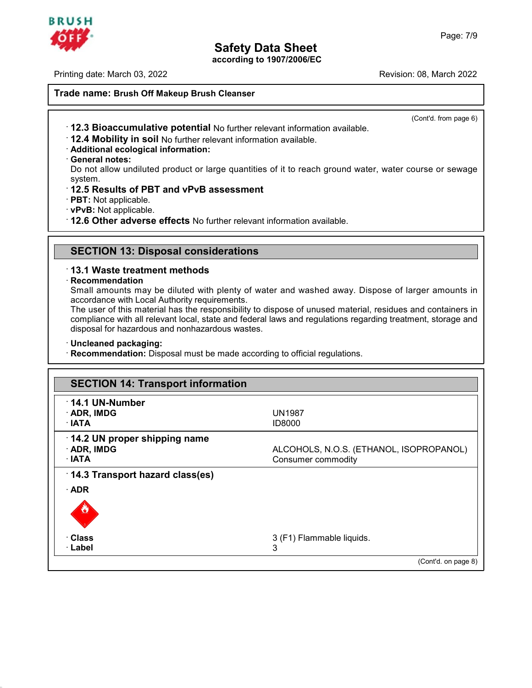

Printing date: March 03, 2022 **Revision: 08, March 2022** Revision: 08, March 2022

# **Safety Data S**<br> **Printing date:** March 03, 2022<br> **Trade name: Brush Off Makeup Brush Cleanser**<br> **Brush Off Makeup Brush Cleanser**

(Cont'd. from page 6)

- **Example 12.3 Bioaccumulative potential** No further relevant information available.<br>• **12.3 Bioaccumulative potential** No further relevant information available.<br>• **Additional ecological information:**<br>• **General notes:**<br>•
- 
- 
- 

**12.3 Bioaccumulative p**<br>**12.4 Mobility in soil No f**<br>**Additional ecological information**<br>**General notes:**<br>Do not allow undiluted prodesses 12.3 Bioaccumulative potential No further relevant information available.<br>
12.4 Mobility in soil No further relevant information available.<br>
12.4 Mobility in soil No further relevant information available.<br>
12.5 Results o system. **12.4 Mobility in soil No further relevant information av**<br> **Additional ecological information:**<br> **Ceneral notes:**<br>
Do not allow undiluted product or large quantities of it<br>
system.<br> **12.5 Results of PBT and vPvB assessme** • **Reneral notes:**<br>• **Ceneral notes:**<br>
Do not allow undiluted product or large quantities of it to reach ground water, v<br>
system.<br>
• **12.5 Results of PBT and vPvB assessment**<br>
• **PBT:** Not applicable.<br>
• **12.6 Other advers** 

- 
- 
- 
- **PBT:** Not applicable.<br> **PBT:** Not applicable.<br> **12.6 Other adverse effects** No further relevant informations<br> **SECTION 13: Disposal considerations**<br> **13.1 Waste treatment methods**

## · **Recommendation**

• **12.6 Other adverse effects** No further relevant information available.<br>
• **SECTION 13: Disposal considerations**<br>
• **13.1 Waste treatment methods**<br>
• **Recommendation**<br>
Small amounts may be diluted with plenty of water an SECTION 13: Disposal considerations<br>13.1 Waste treatment methods<br>Recommendation<br>Small amounts may be diluted with plenty of water and washed away. Dispose of larger amounts in<br>accordance with Local Authority requirements.<br> **SECTION 13: Disposal considerations**<br>**13.1 Waste treatment methods**<br>**Recommendation**<br>Small amounts may be diluted with plenty of wa<br>accordance with Local Authority requirements.<br>The user of this material has the responsib

13.1 Waste treatment methods<br>
Recommendation<br>
Small amounts may be diluted with plenty of water and washed away. Dispose of larger amounts in<br>
accordance with Local Authority requirements.<br>
The user of this material has th **13.1 Waste treatment methods**<br>**Recommendation**<br>Small amounts may be diluted with plenty of water and washed away. Dispose of larger amounts in<br>accordance with Local Authority requirements.<br>The user of this material has th Recommendation<br>
Small amounts may be diluted with plenty of water and watercordance with Local Authority requirements.<br>
The user of this material has the responsibility to dispose of<br>
compliance with all relevant local, st The user of this material has the responsibility to dispose of unused material, residues and containers in compliance with all relevant local, state and federal laws and regulations regarding treatment, storage and disposa

45.2.2

| <b>SECTION 14: Transport information</b> |                                         |
|------------------------------------------|-----------------------------------------|
| $\cdot$ 14.1 UN-Number                   |                                         |
| $\cdot$ ADR, IMDG                        | <b>UN1987</b>                           |
| $\cdot$ IATA                             | <b>ID8000</b>                           |
| 14.2 UN proper shipping name             |                                         |
| · ADR, IMDG                              | ALCOHOLS, N.O.S. (ETHANOL, ISOPROPANOL) |
| $\cdot$ IATA                             | Consumer commodity                      |
| $\cdot$ 14.3 Transport hazard class(es)  |                                         |
| $\cdot$ ADR                              |                                         |
|                                          |                                         |
|                                          |                                         |
|                                          |                                         |
| · Class                                  | 3 (F1) Flammable liquids.               |
| <b>· Label</b>                           | 3                                       |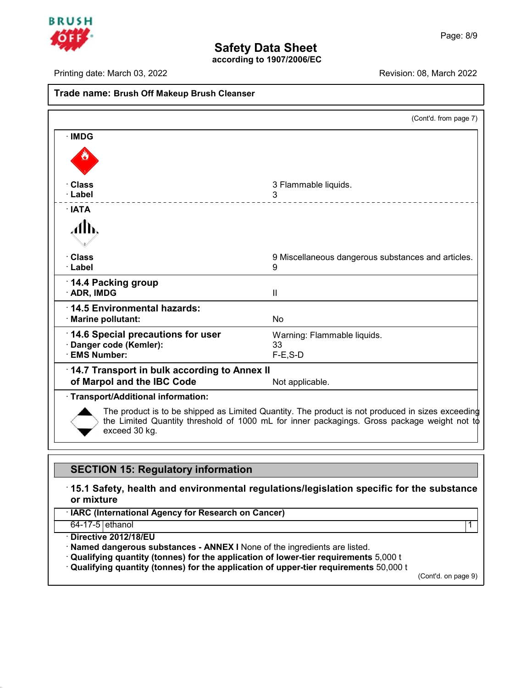

|                                                                                  | <b>Safety Data Sheet</b><br>according to 1907/2006/EC                                            |  |
|----------------------------------------------------------------------------------|--------------------------------------------------------------------------------------------------|--|
| Printing date: March 03, 2022                                                    | Revision: 08, March 2022                                                                         |  |
| Trade name: Brush Off Makeup Brush Cleanser                                      |                                                                                                  |  |
|                                                                                  | (Cont'd. from page 7)                                                                            |  |
| · IMDG                                                                           |                                                                                                  |  |
|                                                                                  |                                                                                                  |  |
| <b>Class</b>                                                                     | 3 Flammable liquids.                                                                             |  |
| · Label                                                                          | 3<br>______________________                                                                      |  |
| $\cdot$ IATA<br>$\mathcal{A}$ h,                                                 |                                                                                                  |  |
| · Class<br>$\cdot$ Label                                                         | 9 Miscellaneous dangerous substances and articles.<br>9                                          |  |
| 14.4 Packing group<br>· ADR, IMDG                                                | Ш                                                                                                |  |
| 14.5 Environmental hazards:<br>· Marine pollutant:                               | No                                                                                               |  |
| 14.6 Special precautions for user<br>Danger code (Kemler):<br><b>EMS Number:</b> | Warning: Flammable liquids.<br>33<br>$F-E$ , $S-D$                                               |  |
| 14.7 Transport in bulk according to Annex II                                     |                                                                                                  |  |
| of Marpol and the IBC Code                                                       | Not applicable.                                                                                  |  |
| Transport/Additional information:                                                | The product is to be shipped as Limited Quantity. The product is not produced in sizes exceeding |  |
| exceed 30 kg.                                                                    | the Limited Quantity threshold of 1000 mL for inner packagings. Gross package weight not to      |  |
|                                                                                  |                                                                                                  |  |
| <b>SECTION 15: Regulatory information</b>                                        |                                                                                                  |  |
| or mixture                                                                       | $\,$ 15.1 Safety, health and environmental regulations/legislation specific for the substance    |  |
| · IARC (International Agency for Research on Cancer)                             |                                                                                                  |  |
| $64-17-5$ ethanol                                                                | 1                                                                                                |  |
| · Directive 2012/18/EU                                                           |                                                                                                  |  |

45.2.2

- · **Directive 2012/18/EU**
- 
- 64-17-5 ethanol<br>
 Directive 2012/18/EU<br>
 Named dangerous substances ANNEX I None of the ingredients are listed.<br>
 Qualifying quantity (tonnes) for the application of lower-tier requirements 5,000 t<br>
 Qualifying qu

(Cont'd. on page 9)